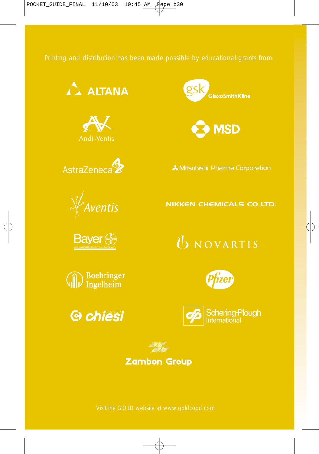Printing and distribution has been made possible by educational grants from:













& Mitsubishi Pharma Corporation

#### **NIKKEN CHEMICALS CO., LTD.**

**Bayer** 





### UNOVARTIS







#### **Zambon Group**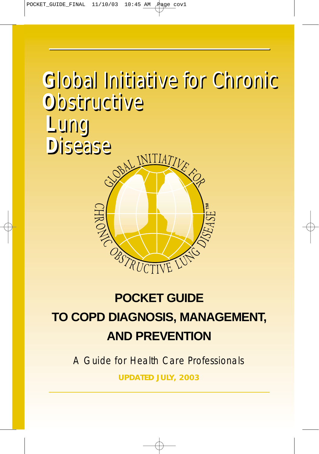# **G**lobal Initiative for Chronic **G**lobal Initiative for Chronic **G**lobal Initiative for Chronic **O**bstructive **O**bstructive **O**bstructive **L**ung **L**ung **L**ung **D**isease **D**isease **D**isease



### **POCKET GUIDE**

### **TO COPD DIAGNOSIS, MANAGEMENT, AND PREVENTION**

A Guide for Health Care Professionals

**UPDATED JULY, 2003**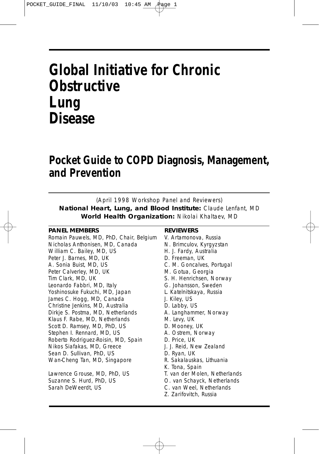### **Global Initiative for Chronic Obstructive Lung Disease**

### **Pocket Guide to COPD Diagnosis, Management, and Prevention**

(April 1998 Workshop Panel and Reviewers)

**National Heart, Lung, and Blood Institute:** Claude Lenfant, MD **World Health Organization:** Nikolai Khaltaev, MD

#### **PANEL MEMBERS**

Romain Pauwels, MD, PhD, Chair, Belgium Nicholas Anthonisen, MD, Canada William C. Bailey, MD, US Peter J. Barnes, MD, UK A. Sonia Buist, MD, US Peter Calverley, MD, UK Tim Clark, MD, UK Leonardo Fabbri, MD, Italy Yoshinosuke Fukuchi, MD, Japan James C. Hogg, MD, Canada Christine Jenkins, MD, Australia Dirkje S. Postma, MD, Netherlands Klaus F. Rabe, MD, Netherlands Scott D. Ramsey, MD, PhD, US Stephen I. Rennard, MD, US Roberto Rodriguez-Roisin, MD, Spain Nikos Siafakas, MD, Greece Sean D. Sullivan, PhD, US Wan-Cheng Tan, MD, Singapore

Lawrence Grouse, MD, PhD, US Suzanne S. Hurd, PhD, US Sarah DeWeerdt, US

#### **REVIEWERS**

- V. Artamonova, Russia N. Brimculov, Kyrgyzstan H. J. Fardy, Australia D. Freeman, UK C. M. Goncalves, Portugal M. Gotua, Georgia S. H. Henrichsen, Norway G. Johansson, Sweden L. Katelnitskaya, Russia J. Kiley, US D. Labby, US A. Langhammer, Norway M. Levy, UK D. Mooney, UK A. Ostrem, Norway D. Price, UK J. J. Reid, New Zealand D. Ryan, UK R. Sakalauskas, Lithuania K. Tona, Spain T. van der Molen, Netherlands O. van Schayck, Netherlands C. van Weel, Netherlands
- Z. Zarifovitch, Russia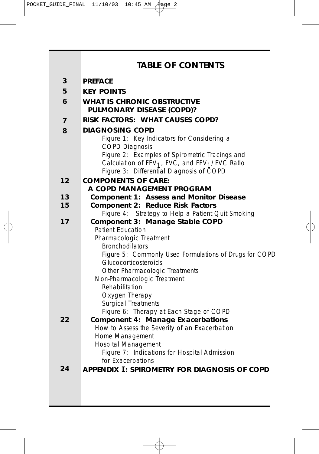|    | <b>TABLE OF CONTENTS</b>                                                                                                 |  |  |  |
|----|--------------------------------------------------------------------------------------------------------------------------|--|--|--|
| 3  | <b>PREFACE</b>                                                                                                           |  |  |  |
| 5  | <b>KEY POINTS</b>                                                                                                        |  |  |  |
| 6  | <b>WHAT IS CHRONIC OBSTRUCTIVE</b><br><b>PULMONARY DISEASE (COPD)?</b>                                                   |  |  |  |
| 7  | RISK FACTORS: WHAT CAUSES COPD?                                                                                          |  |  |  |
| 8  | <b>DIAGNOSING COPD</b>                                                                                                   |  |  |  |
|    | Figure 1: Key Indicators for Considering a                                                                               |  |  |  |
|    | <b>COPD Diagnosis</b>                                                                                                    |  |  |  |
|    | Figure 2: Examples of Spirometric Tracings and<br>Calculation of FEV <sub>1</sub> , FVC, and FEV <sub>1</sub> /FVC Ratio |  |  |  |
|    | Figure 3: Differential Diagnosis of COPD                                                                                 |  |  |  |
| 12 | <b>COMPONENTS OF CARE:</b>                                                                                               |  |  |  |
|    | A COPD MANAGEMENT PROGRAM                                                                                                |  |  |  |
| 13 | <b>Component 1: Assess and Monitor Disease</b>                                                                           |  |  |  |
| 15 | <b>Component 2: Reduce Risk Factors</b>                                                                                  |  |  |  |
| 17 | Figure 4: Strategy to Help a Patient Quit Smoking<br>Component 3: Manage Stable COPD                                     |  |  |  |
|    | <b>Patient Education</b>                                                                                                 |  |  |  |
|    | Pharmacologic Treatment                                                                                                  |  |  |  |
|    | <b>Bronchodilators</b>                                                                                                   |  |  |  |
|    | Figure 5: Commonly Used Formulations of Drugs for COPD                                                                   |  |  |  |
|    | Glucocorticosteroids                                                                                                     |  |  |  |
|    | Other Pharmacologic Treatments<br>Non-Pharmacologic Treatment                                                            |  |  |  |
|    | Rehabilitation                                                                                                           |  |  |  |
|    | Oxygen Therapy                                                                                                           |  |  |  |
|    | <b>Surgical Treatments</b>                                                                                               |  |  |  |
|    | Figure 6: Therapy at Each Stage of COPD                                                                                  |  |  |  |
| 22 | <b>Component 4: Manage Exacerbations</b><br>How to Assess the Severity of an Exacerbation                                |  |  |  |
|    | Home Management                                                                                                          |  |  |  |
|    | <b>Hospital Management</b>                                                                                               |  |  |  |
|    | Figure 7: Indications for Hospital Admission                                                                             |  |  |  |
|    | for Exacerbations                                                                                                        |  |  |  |
| 24 | <b>APPENDIX I: SPIROMETRY FOR DIAGNOSIS OF COPD</b>                                                                      |  |  |  |
|    |                                                                                                                          |  |  |  |
|    |                                                                                                                          |  |  |  |
|    |                                                                                                                          |  |  |  |
|    |                                                                                                                          |  |  |  |

 $\oplus$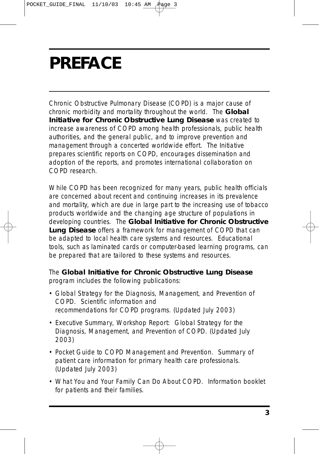## **PREFACE**

Chronic Obstructive Pulmonary Disease (COPD) is a major cause of chronic morbidity and mortality throughout the world. The **Global Initiative for Chronic Obstructive Lung Disease** was created to increase awareness of COPD among health professionals, public health authorities, and the general public, and to improve prevention and management through a concerted worldwide effort. The Initiative prepares scientific reports on COPD, encourages dissemination and adoption of the reports, and promotes international collaboration on COPD research.

While COPD has been recognized for many years, public health officials are concerned about recent and continuing increases in its prevalence and mortality, which are due in large part to the increasing use of tobacco products worldwide and the changing age structure of populations in developing countries. The **Global Initiative for Chronic Obstructive Lung Disease** offers a framework for management of COPD that can be adapted to local health care systems and resources. Educational tools, such as laminated cards or computer-based learning programs, can be prepared that are tailored to these systems and resources.

#### The **Global Initiative for Chronic Obstructive Lung Disease** program includes the following publications:

- *Global Strategy for the Diagnosis, Management, and Prevention of COPD*. Scientific information and recommendations for COPD programs. (Updated July 2003)
- Executive Summary, Workshop Report: *Global Strategy for the Diagnosis, Management, and Prevention of COPD*. (Updated July 2003)
- *Pocket Guide to COPD Management and Prevention.* Summary of patient care information for primary health care professionals. (Updated July 2003)
- *What You and Your Family Can Do About COPD*. Information booklet for patients and their families.

**3**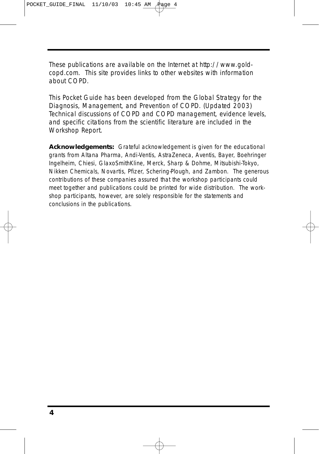These publications are available on the Internet at http://www.goldcopd.com. This site provides links to other websites with information about COPD.

This Pocket Guide has been developed from the *Global Strategy for the Diagnosis, Management, and Prevention of COPD*. (Updated 2003) Technical discussions of COPD and COPD management, evidence levels, and specific citations from the scientific literature are included in the Workshop Report.

**Acknowledgements:** Grateful acknowledgement is given for the educational grants from Altana Pharma, Andi-Ventis, AstraZeneca, Aventis, Bayer, Boehringer Ingelheim, Chiesi, GlaxoSmithKline, Merck, Sharp & Dohme, Mitsubishi-Tokyo, Nikken Chemicals, Novartis, Pfizer, Schering-Plough, and Zambon. The generous contributions of these companies assured that the workshop participants could meet together and publications could be printed for wide distribution. The workshop participants, however, are solely responsible for the statements and conclusions in the publications.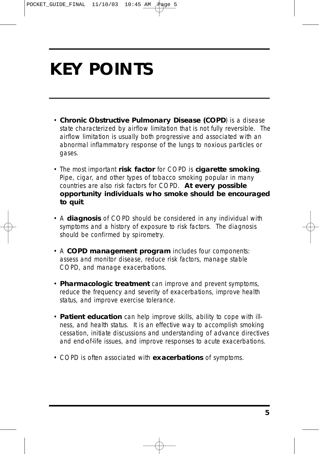## **KEY POINTS**

- **Chronic Obstructive Pulmonary Disease (COPD**) is a disease state characterized by airflow limitation that is not fully reversible. The airflow limitation is usually both progressive and associated with an abnormal inflammatory response of the lungs to noxious particles or gases.
- The most important **risk factor** for COPD is **cigarette smoking**. Pipe, cigar, and other types of tobacco smoking popular in many countries are also risk factors for COPD. **At every possible opportunity individuals who smoke should be encouraged to quit**.
- A **diagnosis** of COPD should be considered in any individual with symptoms and a history of exposure to risk factors. The diagnosis should be confirmed by spirometry.
- A **COPD management program** includes four components: assess and monitor disease, reduce risk factors, manage stable COPD, and manage exacerbations.
- **Pharmacologic treatment** can improve and prevent symptoms, reduce the frequency and severity of exacerbations, improve health status, and improve exercise tolerance.
- **Patient education** can help improve skills, ability to cope with illness, and health status. It is an effective way to accomplish smoking cessation, initiate discussions and understanding of advance directives and end-of-life issues, and improve responses to acute exacerbations.
- COPD is often associated with **exacerbations** of symptoms.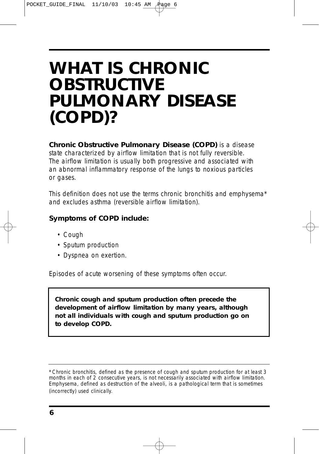### **WHAT IS CHRONIC OBSTRUCTIVE PULMONARY DISEASE (COPD)?**

**Chronic Obstructive Pulmonary Disease (COPD)** is a disease state characterized by airflow limitation that is not fully reversible. The airflow limitation is usually both progressive and associated with an abnormal inflammatory response of the lungs to noxious particles or gases.

This definition does not use the terms chronic bronchitis and emphysema\* and excludes asthma (reversible airflow limitation).

#### **Symptoms of COPD include:**

- Cough
- Sputum production
- Dyspnea on exertion.

Episodes of acute worsening of these symptoms often occur.

**Chronic cough and sputum production often precede the development of airflow limitation by many years, although not all individuals with cough and sputum production go on to develop COPD.** 

*<sup>\*</sup>Chronic bronchitis*, defined as the presence of cough and sputum production for at least 3 months in each of 2 consecutive years, is not necessarily associated with airflow limitation. *Emphysema*, defined as destruction of the alveoli, is a pathological term that is sometimes (incorrectly) used clinically.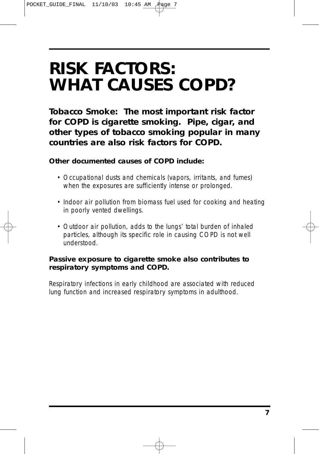### **RISK FACTORS: WHAT CAUSES COPD?**

**Tobacco Smoke: The most important risk factor for COPD is cigarette smoking. Pipe, cigar, and other types of tobacco smoking popular in many countries are also risk factors for COPD.**

#### **Other documented causes of COPD include:**

- Occupational dusts and chemicals (vapors, irritants, and fumes) when the exposures are sufficiently intense or prolonged.
- Indoor air pollution from biomass fuel used for cooking and heating in poorly vented dwellings.
- Outdoor air pollution, adds to the lungs' total burden of inhaled particles, although its specific role in causing COPD is not well understood.

#### **Passive exposure to cigarette smoke also contributes to respiratory symptoms and COPD.**

Respiratory infections in early childhood are associated with reduced lung function and increased respiratory symptoms in adulthood.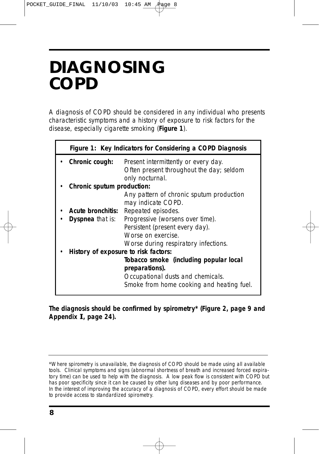### **DIAGNOSING COPD**

A diagnosis of COPD should be considered in any individual who presents characteristic symptoms and a history of exposure to risk factors for the disease, especially cigarette smoking (**Figure 1**).

| Figure 1: Key Indicators for Considering a COPD Diagnosis |                                           |  |
|-----------------------------------------------------------|-------------------------------------------|--|
| Chronic cough:                                            | Present intermittently or every day.      |  |
|                                                           | Often present throughout the day; seldom  |  |
|                                                           | only nocturnal.                           |  |
| Chronic sputum production:                                |                                           |  |
|                                                           | Any pattern of chronic sputum production  |  |
|                                                           | may indicate COPD.                        |  |
| Acute bronchitis:                                         | Repeated episodes.                        |  |
| Dyspnea that is:                                          | Progressive (worsens over time).          |  |
|                                                           | Persistent (present every day).           |  |
|                                                           | Worse on exercise.                        |  |
|                                                           | Worse during respiratory infections.      |  |
| History of exposure to risk factors:                      |                                           |  |
|                                                           | Tobacco smoke (including popular local    |  |
|                                                           | preparations).                            |  |
|                                                           | Occupational dusts and chemicals.         |  |
|                                                           | Smoke from home cooking and heating fuel. |  |

**The diagnosis should be confirmed by spirometry\* (Figure 2, page 9 and Appendix I, page 24).** 

<sup>\*</sup>Where spirometry is unavailable, the diagnosis of COPD should be made using all available tools. Clinical symptoms and signs (abnormal shortness of breath and increased forced expiratory time) can be used to help with the diagnosis. A low peak flow is consistent with COPD but has poor specificity since it can be caused by other lung diseases and by poor performance. In the interest of improving the accuracy of a diagnosis of COPD, every effort should be made to provide access to standardized spirometry.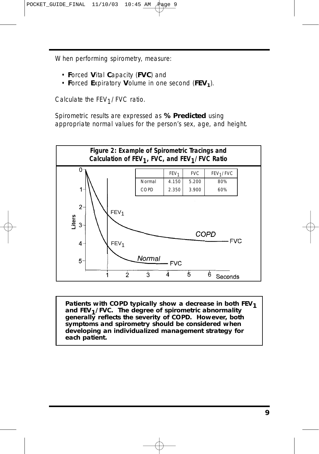When performing spirometry, measure:

- **F**orced **V**ital **C**apacity (**FVC**) and
- **Forced Expiratory Volume in one second (FEV<sub>1</sub>).**

Calculate the  $FEV<sub>1</sub>/FVC$  ratio.

Spirometric results are expressed as **% Predicted** using appropriate normal values for the person's sex, age, and height.



Patients with COPD typically show a decrease in both FEV<sub>1</sub> **and FEV1/FVC. The degree of spirometric abnormality generally reflects the severity of COPD. However, both symptoms and spirometry should be considered when developing an individualized management strategy for each patient.**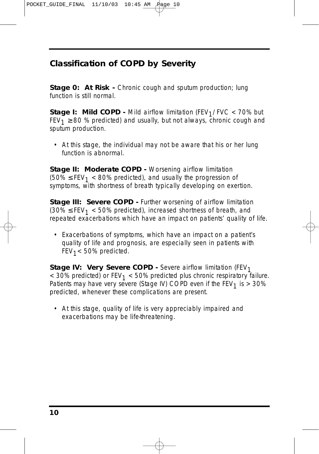#### **Classification of COPD by Severity**

**Stage 0: At Risk -** Chronic cough and sputum production; lung function is still normal.

**Stage I: Mild COPD -** Mild airflow limitation (FEV<sub>1</sub>/FVC  $\lt$  70% but  $FEV_1 \geq 80$  % predicted) and usually, but not always, chronic cough and sputum production.

• At this stage, the individual may not be aware that his or her lung function is abnormal.

**Stage II: Moderate COPD -** Worsening airflow limitation  $(50\% \leq FEV_1 < 80\%$  predicted), and usually the progression of symptoms, with shortness of breath typically developing on exertion.

**Stage III: Severe COPD -** Further worsening of airflow limitation  $(30\% \leq FEV_1 < 50\%$  predicted), increased shortness of breath, and repeated exacerbations which have an impact on patients' quality of life.

• Exacerbations of symptoms, which have an impact on a patient's quality of life and prognosis, are especially seen in patients with  $FEV<sub>1</sub> < 50%$  predicted.

**Stage IV: Very Severe COPD -** Severe airflow limitation (FEV<sub>1</sub>  $<$  30% predicted) or FEV<sub>1</sub>  $<$  50% predicted plus chronic respiratory failure. Patients may have very severe (Stage IV) COPD even if the  $FEV<sub>1</sub>$  is  $> 30\%$ predicted, whenever these complications are present.

• At this stage, quality of life is very appreciably impaired and exacerbations may be life-threatening.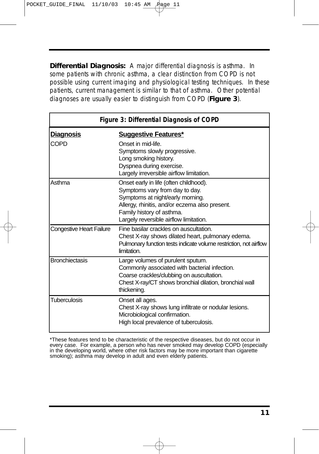**Differential Diagnosis:** A major differential diagnosis is asthma. In some patients with chronic asthma, a clear distinction from COPD is not possible using current imaging and physiological testing techniques. In these patients, current management is similar to that of asthma. Other potential diagnoses are usually easier to distinguish from COPD (**Figure 3**).

| Figure 3: Differential Diagnosis of COPD |                                                                                                                                                                                                                                       |  |
|------------------------------------------|---------------------------------------------------------------------------------------------------------------------------------------------------------------------------------------------------------------------------------------|--|
| <u>Diagnosis</u>                         | <b>Suggestive Features*</b>                                                                                                                                                                                                           |  |
| COPD                                     | Onset in mid-life.<br>Symptoms slowly progressive.<br>Long smoking history.<br>Dyspnea during exercise.<br>Largely irreversible airflow limitation.                                                                                   |  |
| Asthma                                   | Onset early in life (often childhood).<br>Symptoms vary from day to day.<br>Symptoms at night/early morning.<br>Allergy, rhinitis, and/or eczema also present.<br>Family history of asthma.<br>Largely reversible airflow limitation. |  |
| <b>Congestive Heart Failure</b>          | Fine basilar crackles on auscultation.<br>Chest X-ray shows dilated heart, pulmonary edema.<br>Pulmonary function tests indicate volume restriction, not airflow<br>limitation.                                                       |  |
| <b>Bronchiectasis</b>                    | Large volumes of purulent sputum.<br>Commonly associated with bacterial infection.<br>Coarse crackles/clubbing on auscultation.<br>Chest X-ray/CT shows bronchial dilation, bronchial wall<br>thickening.                             |  |
| Tuberculosis                             | Onset all ages.<br>Chest X-ray shows lung infiltrate or nodular lesions.<br>Microbiological confirmation.<br>High local prevalence of tuberculosis.                                                                                   |  |

\*These features tend to be characteristic of the respective diseases, but do not occur in every case. For example, a person who has never smoked may develop COPD (especially in the developing world, where other risk factors may be more important than cigarette smoking); asthma may develop in adult and even elderly patients.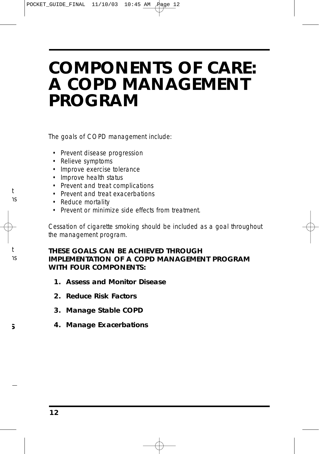### **COMPONENTS OF CARE: A COPD MANAGEMENT PROGRAM**

The goals of COPD management include:

- Prevent disease progression
- Relieve symptoms
- Improve exercise tolerance
- Improve health status
- Prevent and treat complications
- Prevent and treat exacerbations
- Reduce mortality

t าร

t าร

**S**

• Prevent or minimize side effects from treatment.

Cessation of cigarette smoking should be included as a goal throughout the management program.

#### **THESE GOALS CAN BE ACHIEVED THROUGH IMPLEMENTATION OF A COPD MANAGEMENT PROGRAM WITH FOUR COMPONENTS:**

- **1. Assess and Monitor Disease**
- **2. Reduce Risk Factors**
- **3. Manage Stable COPD**
- **4. Manage Exacerbations**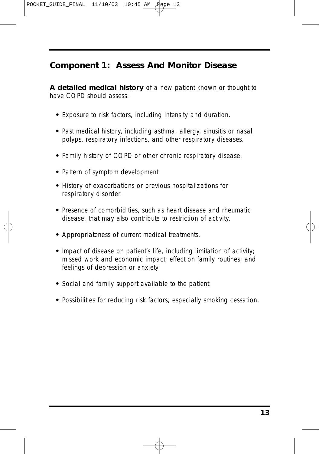POCKET\_GUIDE\_FINAL 11/10/03 10:45 AM

#### **Component 1: Assess And Monitor Disease**

**A detailed medical history** of a new patient known or thought to have COPD should assess:

- **•** Exposure to risk factors, including intensity and duration.
- **•** Past medical history, including asthma, allergy, sinusitis or nasal polyps, respiratory infections, and other respiratory diseases.
- **•** Family history of COPD or other chronic respiratory disease.
- **•** Pattern of symptom development.
- **•** History of exacerbations or previous hospitalizations for respiratory disorder.
- **•** Presence of comorbidities, such as heart disease and rheumatic disease, that may also contribute to restriction of activity.
- **•** Appropriateness of current medical treatments.
- **•** Impact of disease on patient's life, including limitation of activity; missed work and economic impact; effect on family routines; and feelings of depression or anxiety.
- **•** Social and family support available to the patient.
- **•** Possibilities for reducing risk factors, especially smoking cessation.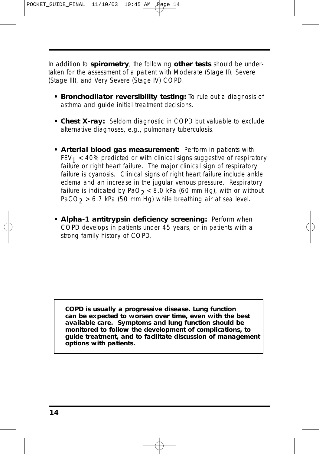POCKET\_GUIDE\_FINAL 11/10/03 10:45 AM Page 14

In addition to **spirometry**, the following **other tests** should be undertaken for the assessment of a patient with Moderate (Stage II), Severe (Stage III), and Very Severe (Stage IV) COPD.

- **Bronchodilator reversibility testing:** To rule out a diagnosis of asthma and guide initial treatment decisions.
- **Chest X-ray:** Seldom diagnostic in COPD but valuable to exclude alternative diagnoses, e.g., pulmonary tuberculosis.
- **Arterial blood gas measurement:** Perform in patients with  $FEV<sub>1</sub> < 40%$  predicted or with clinical signs suggestive of respiratory failure or right heart failure. The major clinical sign of respiratory failure is cyanosis. Clinical signs of right heart failure include ankle edema and an increase in the jugular venous pressure. Respiratory failure is indicated by PaO<sub>2</sub> < 8.0 kPa (60 mm Hg), with or without PaCO<sub>2</sub> > 6.7 kPa (50 mm Hg) while breathing air at sea level.
- **Alpha-1 antitrypsin deficiency screening:** Perform when COPD develops in patients under 45 years, or in patients with a strong family history of COPD.

**COPD is usually a progressive disease. Lung function can be expected to worsen over time, even with the best available care. Symptoms and lung function should be monitored to follow the development of complications, to guide treatment, and to facilitate discussion of management options with patients.**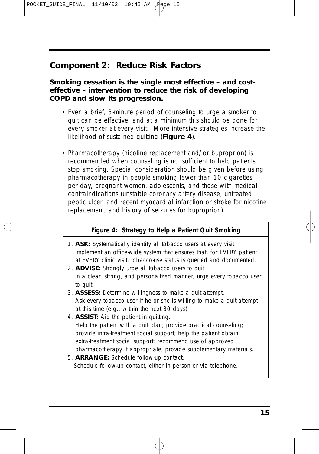POCKET\_GUIDE\_FINAL 11/10/03 10:45 AM

#### **Component 2: Reduce Risk Factors**

#### *Smoking cessation is the single most effective – and costeffective – intervention to reduce the risk of developing COPD and slow its progression.*

- Even a brief, 3-minute period of counseling to urge a smoker to quit can be effective, and at a minimum this should be done for every smoker at every visit. More intensive strategies increase the likelihood of sustained quitting (**Figure 4**).
- Pharmacotherapy (nicotine replacement and/or buproprion) is recommended when counseling is not sufficient to help patients stop smoking. Special consideration should be given before using pharmacotherapy in people smoking fewer than 10 cigarettes per day, pregnant women, adolescents, and those with medical contraindications (unstable coronary artery disease, untreated peptic ulcer, and recent myocardial infarction or stroke for nicotine replacement; and history of seizures for buproprion).

#### **Figure 4: Strategy to Help a Patient Quit Smoking**

- 1. **ASK:** Systematically identify all tobacco users at every visit. *Implement an office-wide system that ensures that, for EVERY patient at EVERY clinic visit, tobacco-use status is queried and documented.*
- 2. **ADVISE:** Strongly urge all tobacco users to quit. *In a clear, strong, and personalized manner, urge every tobacco user to quit.*
- 3. **ASSESS:** Determine willingness to make a quit attempt. *Ask every tobacco user if he or she is willing to make a quit attempt at this time (e.g., within the next 30 days).*
- 4. **ASSIST:** Aid the patient in quitting. *Help the patient with a quit plan; provide practical counseling; provide intra-treatment social support; help the patient obtain extra-treatment social support; recommend use of approved pharmacotherapy if appropriate; provide supplementary materials.*
- 5. **ARRANGE:** Schedule follow-up contact. *Schedule follow-up contact, either in person or via telephone.*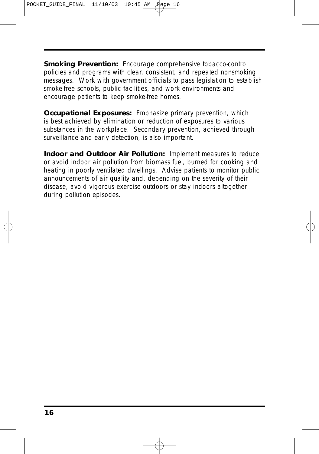**Smoking Prevention:** Encourage comprehensive tobacco-control policies and programs with clear, consistent, and repeated nonsmoking messages. Work with government officials to pass legislation to establish smoke-free schools, public facilities, and work environments and encourage patients to keep smoke-free homes.

*Occupational Exposures:* Emphasize primary prevention, which is best achieved by elimination or reduction of exposures to various substances in the workplace. Secondary prevention, achieved through surveillance and early detection, is also important.

*Indoor and Outdoor Air Pollution:* Implement measures to reduce or avoid indoor air pollution from biomass fuel, burned for cooking and heating in poorly ventilated dwellings. Advise patients to monitor public announcements of air quality and, depending on the severity of their disease, avoid vigorous exercise outdoors or stay indoors altogether during pollution episodes.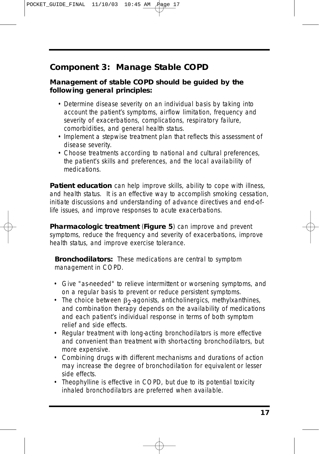POCKET\_GUIDE\_FINAL 11/10/03 10:45 AM Page 17

#### **Component 3: Manage Stable COPD**

#### **Management of stable COPD should be guided by the following general principles:**

- Determine disease severity on an individual basis by taking into account the patient's symptoms, airflow limitation, frequency and severity of exacerbations, complications, respiratory failure, comorbidities, and general health status.
- Implement a stepwise treatment plan that reflects this assessment of disease severity.
- Choose treatments according to national and cultural preferences, the patient's skills and preferences, and the local availability of medications.

**Patient education** can help improve skills, ability to cope with illness, and health status. It is an effective way to accomplish smoking cessation, initiate discussions and understanding of advance directives and end-oflife issues, and improve responses to acute exacerbations.

**Pharmacologic treatment** (**Figure 5**) can improve and prevent symptoms, reduce the frequency and severity of exacerbations, improve health status, and improve exercise tolerance.

**Bronchodilators:** These medications are central to symptom management in COPD.

- Give "as-needed" to relieve intermittent or worsening symptoms, and on a regular basis to prevent or reduce persistent symptoms.
- The choice between  $\beta_2$  agonists, anticholinergics, methylxanthines, and combination therapy depends on the availability of medications and each patient's individual response in terms of both symptom relief and side effects.
- Regular treatment with long-acting bronchodilators is more effective and convenient than treatment with short-acting bronchodilators, but more expensive.
- Combining drugs with different mechanisms and durations of action may increase the degree of bronchodilation for equivalent or lesser side effects.
- Theophylline is effective in COPD, but due to its potential toxicity inhaled bronchodilators are preferred when available.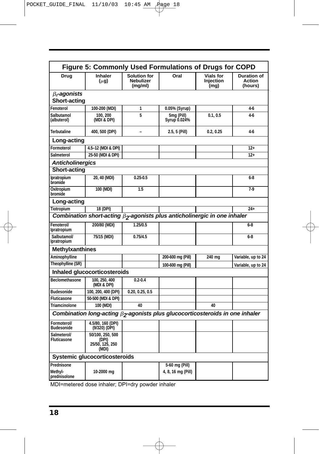|                                   | Figure 5: Commonly Used Formulations of Drugs for COPD                                      |                                                    |                            |                                       |                                         |
|-----------------------------------|---------------------------------------------------------------------------------------------|----------------------------------------------------|----------------------------|---------------------------------------|-----------------------------------------|
| Drug                              | <b>Inhaler</b><br>$(\mu g)$                                                                 | <b>Solution for</b><br><b>Nebulizer</b><br>(mg/ml) | Oral                       | <b>Vials for</b><br>Injection<br>(mq) | <b>Duration of</b><br>Action<br>(hours) |
| $\beta_2$ -agonists               |                                                                                             |                                                    |                            |                                       |                                         |
| <b>Short-acting</b>               |                                                                                             |                                                    |                            |                                       |                                         |
| Fenoterol                         | 100-200 (MDI)                                                                               | 1                                                  | 0.05% (Syrup)              |                                       | $4-6$                                   |
| Salbutamol<br>(albuterol)         | 100, 200<br>(MDI & DPI)                                                                     | 5                                                  | 5mg (Pill)<br>Syrup 0.024% | 0.1, 0.5                              | 4-6                                     |
| <b>Terbutaline</b>                | 400, 500 (DPI)                                                                              |                                                    | 2.5, 5 (Pill)              | 0.2, 0.25                             | $4-6$                                   |
| Long-acting                       |                                                                                             |                                                    |                            |                                       |                                         |
| Formoterol                        | 4.5-12 (MDI & DPI)                                                                          |                                                    |                            |                                       | $12+$                                   |
| Salmeterol                        | 25-50 (MDI & DPI)                                                                           |                                                    |                            |                                       | $12+$                                   |
| <b>Anticholinergics</b>           |                                                                                             |                                                    |                            |                                       |                                         |
| <b>Short-acting</b>               |                                                                                             |                                                    |                            |                                       |                                         |
| Ipratropium<br>bromide            | 20, 40 (MDI)                                                                                | $0.25 - 0.5$                                       |                            |                                       | $6 - 8$                                 |
| Oxitropium<br>bromide             | 100 (MDI)                                                                                   | 1.5                                                |                            |                                       | $7-9$                                   |
| Long-acting                       |                                                                                             |                                                    |                            |                                       |                                         |
| <b>Tiotropium</b>                 | 18 (DPI)                                                                                    |                                                    |                            |                                       | $24+$                                   |
|                                   | Combination short-acting $\beta$ <sub>2</sub> -agonists plus anticholinergic in one inhaler |                                                    |                            |                                       |                                         |
| Fenoterol/<br>Ipratropium         | 200/80 (MDI)                                                                                | 1.25/0.5                                           |                            |                                       | $6-8$                                   |
| Salbutamol/<br>Ipratropium        | 75/15 (MDI)                                                                                 | 0.75/4.5                                           |                            |                                       | $6 - 8$                                 |
| <b>Methylxanthines</b>            |                                                                                             |                                                    |                            |                                       |                                         |
| Aminophylline                     |                                                                                             |                                                    | 200-600 mg (Pill)          | 240 mg                                | Variable, up to 24                      |
| Theophylline (SR)                 |                                                                                             |                                                    | 100-600 mg (Pill)          |                                       | Variable, up to 24                      |
|                                   | Inhaled glucocorticosteroids                                                                |                                                    |                            |                                       |                                         |
| <b>Beclomethasone</b>             | 100.250.400<br>(MDI & DPI)                                                                  | $0.2 - 0.4$                                        |                            |                                       |                                         |
| <b>Budesonide</b>                 | 100, 200, 400 (DPI)                                                                         | 0.20, 0.25, 0.5                                    |                            |                                       |                                         |
| <b>Fluticasone</b>                | 50-500 (MDI & DPI)                                                                          |                                                    |                            |                                       |                                         |
| <b>Triamcinolone</b>              | 100 (MDI)                                                                                   | 40                                                 |                            | 40                                    |                                         |
|                                   | Combination long-acting $\beta_2$ -agonists plus glucocorticosteroids in one inhaler        |                                                    |                            |                                       |                                         |
| Formoterol/<br><b>Budesonide</b>  | 4.5/80, 160 (DPI)<br>(9/320) (DPI)                                                          |                                                    |                            |                                       |                                         |
| Salmeterol/<br><b>Fluticasone</b> | 50/100, 250, 500<br>(DPI)<br>25/50, 125, 250<br>(MDI)                                       |                                                    |                            |                                       |                                         |
|                                   | Systemic glucocorticosteroids                                                               |                                                    |                            |                                       |                                         |
| Prednisone                        |                                                                                             |                                                    | 5-60 mg (Pill)             |                                       |                                         |
| Methyl-<br>prednisolone           | 10-2000 mg                                                                                  |                                                    | 4, 8, 16 mg (Pill)         |                                       |                                         |
|                                   |                                                                                             |                                                    |                            |                                       |                                         |

MDI=metered dose inhaler; DPI=dry powder inhaler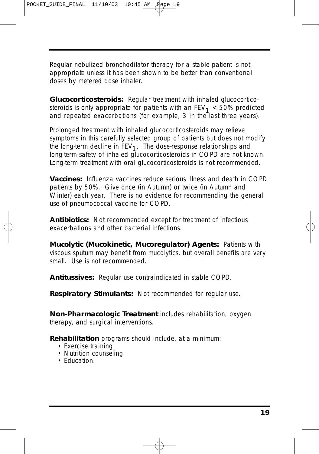Regular nebulized bronchodilator therapy for a stable patient is not appropriate unless it has been shown to be better than conventional doses by metered dose inhaler.

*Glucocorticosteroids:* Regular treatment with inhaled glucocorticosteroids is only appropriate for patients with an  $FEV<sub>1</sub> < 50%$  predicted and repeated exacerbations (for example, 3 in the last three years).

Prolonged treatment with inhaled glucocorticosteroids may relieve symptoms in this carefully selected group of patients but does not modify the long-term decline in  $FEV<sub>1</sub>$ . The dose-response relationships and long-term safety of inhaled glucocorticosteroids in COPD are not known. Long-term treatment with oral glucocorticosteroids is not recommended.

*Vaccines: Influenza* vaccines reduce serious illness and death in COPD patients by 50%. Give once (in Autumn) or twice (in Autumn and Winter) each year. There is no evidence for recommending the general use of pneumococcal vaccine for COPD.

*Antibiotics***:** Not recommended except for treatment of infectious exacerbations and other bacterial infections.

*Mucolytic (Mucokinetic, Mucoregulator) Agents:* Patients with viscous sputum may benefit from mucolytics, but overall benefits are very small. Use is not recommended.

*Antitussives:* Regular use contraindicated in stable COPD.

*Respiratory Stimulants:* Not recommended for regular use.

**Non-Pharmacologic Treatment** includes rehabilitation, oxygen therapy, and surgical interventions.

*Rehabilitation* programs should include, at a minimum:

- Exercise training
- Nutrition counseling
- Education.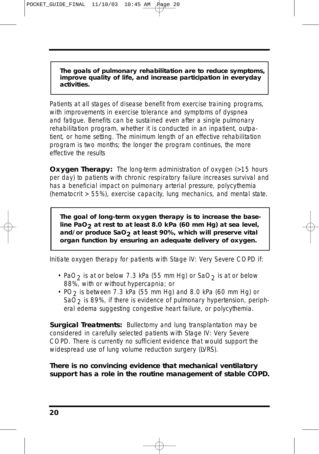**The goals of pulmonary rehabilitation are to reduce symptoms, improve quality of life, and increase participation in everyday activities.**

Patients at all stages of disease benefit from exercise training programs, with improvements in exercise tolerance and symptoms of dyspnea and fatigue. Benefits can be sustained even after a single pulmonary rehabilitation program, whether it is conducted in an inpatient, outpatient, or home setting. The minimum length of an effective rehabilitation program is two months; the longer the program continues, the more effective the results

**Oxygen Therapy:** The long-term administration of oxygen (>15 hours per day) to patients with chronic respiratory failure increases survival and has a beneficial impact on pulmonary arterial pressure, polycythemia (hematocrit > 55%), exercise capacity, lung mechanics, and mental state.

**The goal of long-term oxygen therapy is to increase the baseline PaO2 at rest to at least 8.0 kPa (60 mm Hg) at sea level, and/or produce SaO2 at least 90%, which will preserve vital organ function by ensuring an adequate delivery of oxygen.**

Initiate oxygen therapy for patients with *Stage IV: Very Severe COPD* if:

- PaO<sub>2</sub> is at or below 7.3 kPa (55 mm Hg) or SaO<sub>2</sub> is at or below 88%, with or without hypercapnia; or
- PO<sub>2</sub> is between 7.3 kPa (55 mm Hg) and 8.0 kPa (60 mm Hg) or SaO $2$  is 89%, if there is evidence of pulmonary hypertension, peripheral edema suggesting congestive heart failure, or polycythemia.

*Surgical Treatments:* Bullectomy and lung transplantation may be considered in carefully selected patients with *Stage IV: Very Severe COPD*. There is currently no sufficient evidence that would support the widespread use of lung volume reduction surgery (LVRS).

#### *There is no convincing evidence that mechanical ventilatory support has a role in the routine management of stable COPD.*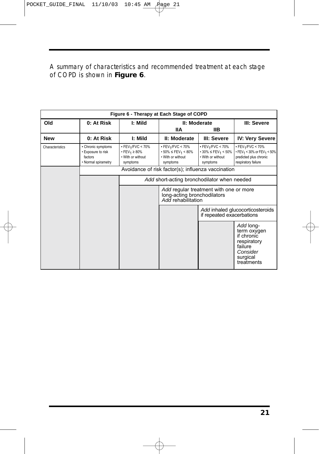A summary of characteristics and recommended treatment at each stage of COPD is shown in **Figure 6**.

| Figure 6 - Therapy at Each Stage of COPD |                                                                            |                                                                                                    |                                                                                                                     |                                                                                                          |                                                                                                                                              |  |  |
|------------------------------------------|----------------------------------------------------------------------------|----------------------------------------------------------------------------------------------------|---------------------------------------------------------------------------------------------------------------------|----------------------------------------------------------------------------------------------------------|----------------------------------------------------------------------------------------------------------------------------------------------|--|--|
| Old                                      | 0: At Risk                                                                 | I: Mild                                                                                            |                                                                                                                     | II: Moderate                                                                                             | III: Severe                                                                                                                                  |  |  |
|                                          |                                                                            |                                                                                                    | llА                                                                                                                 | IІB                                                                                                      |                                                                                                                                              |  |  |
| <b>New</b>                               | 0: At Risk                                                                 | I: Mild                                                                                            | II: Moderate                                                                                                        | III: Severe                                                                                              | <b>IV: Very Severe</b>                                                                                                                       |  |  |
| Characteristics                          | • Chronic symptoms<br>• Exposure to risk<br>factors<br>• Normal spirametry | $\bullet$ FEV <sub>1</sub> /FVC < 70%<br>• FEV <sub>1</sub> ≥ 80%<br>. With or without<br>symptoms | $\bullet$ FEV <sub>1</sub> /FVC < 70%<br>$\cdot$ 50% $\leq$ FEV <sub>1</sub> < 80%<br>. With or without<br>symptoms | $\bullet$ FEV <sub>1</sub> /FVC < 70%<br>• 30% ≤ FEV <sub>1</sub> < 50%<br>. With or without<br>symptoms | $\bullet$ FEV <sub>1</sub> /FVC < 70%<br>• FEV <sub>1</sub> < 30% or FEV <sub>1</sub> < 50%<br>predicted plus chronic<br>respiratory failure |  |  |
|                                          |                                                                            | Avoidance of risk factor(s); influenza vaccination                                                 |                                                                                                                     |                                                                                                          |                                                                                                                                              |  |  |
|                                          |                                                                            | Add short-acting bronchodilator when needed                                                        |                                                                                                                     |                                                                                                          |                                                                                                                                              |  |  |
|                                          |                                                                            |                                                                                                    | long-acting bronchodilators<br>Add rehabilitation                                                                   | Add regular treatment with one or more                                                                   |                                                                                                                                              |  |  |
|                                          |                                                                            |                                                                                                    |                                                                                                                     | if repeated exacerbations                                                                                | Add inhaled glucocorticosteroids                                                                                                             |  |  |
|                                          |                                                                            |                                                                                                    |                                                                                                                     |                                                                                                          | Add long-<br>term oxygen<br>if chronic<br>respiratory<br>failure<br>Consider<br>surgical<br>treatments                                       |  |  |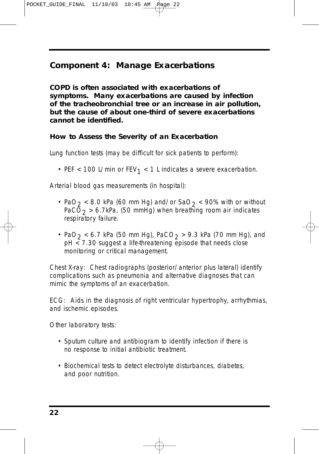POCKET\_GUIDE\_FINAL 11/10/03 10:45 AM

#### **Component 4: Manage Exacerbations**

*COPD is often associated with exacerbations of symptoms. Many exacerbations are caused by infection of the tracheobronchial tree or an increase in air pollution, but the cause of about one-third of severe exacerbations cannot be identified.* 

#### **How to Assess the Severity of an Exacerbation**

*Lung function tests (may be difficult for sick patients to perform):*

• PEF < 100 L/min or  $FEV_1$  < 1 L indicates a severe exacerbation.

*Arterial blood gas measurements (in hospital):*

- PaO<sub>2</sub> < 8.0 kPa (60 mm Hg) and/or SaO<sub>2</sub> < 90% with or without  $PaCO<sub>2</sub> > 6.7kPa$ , (50 mmHg) when breathing room air indicates respiratory failure.
- PaO<sub>2</sub> < 6.7 kPa (50 mm Hg), PaCO<sub>2</sub> > 9.3 kPa (70 mm Hg), and pH < 7.30 suggest a life-threatening episode that needs close monitoring or critical management.

*Chest X-ray:* Chest radiographs (posterior/anterior plus lateral) identify complications such as pneumonia and alternative diagnoses that can mimic the symptoms of an exacerbation.

*ECG:* Aids in the diagnosis of right ventricular hypertrophy, arrhythmias, and ischemic episodes.

*Other laboratory tests:*

- Sputum culture and antibiogram to identify infection if there is no response to initial antibiotic treatment.
- Biochemical tests to detect electrolyte disturbances, diabetes, and poor nutrition.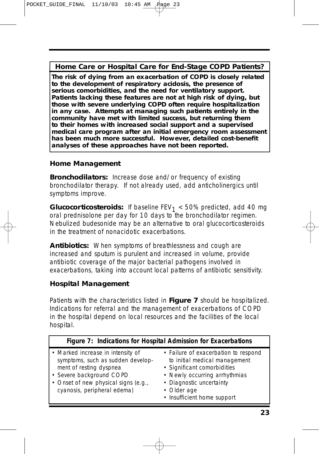**Home Care or Hospital Care for End-Stage COPD Patients?**

**The risk of dying from an exacerbation of COPD is closely related to the development of respiratory acidosis, the presence of serious comorbidities, and the need for ventilatory support. Patients lacking these features are not at high risk of dying, but those with severe underlying COPD often require hospitalization in any case. Attempts at managing such patients entirely in the community have met with limited success, but returning them to their homes with increased social support and a supervised medical care program after an initial emergency room assessment has been much more successful. However, detailed cost-benefit analyses of these approaches have not been reported.** 

#### **Home Management**

**Bronchodilators:** Increase dose and/or frequency of existing bronchodilator therapy. If not already used, add anticholinergics until symptoms improve.

*Glucocorticosteroids*: If baseline  $FEV<sub>1</sub> < 50%$  predicted, add 40 mg oral prednisolone per day for 10 days to the bronchodilator regimen. Nebulized budesonide may be an alternative to oral glucocorticosteroids in the treatment of nonacidotic exacerbations.

*Antibiotics:* When symptoms of breathlessness and cough are increased and sputum is purulent and increased in volume, provide antibiotic coverage of the major bacterial pathogens involved in exacerbations, taking into account local patterns of antibiotic sensitivity.

#### **Hospital Management**

Patients with the characteristics listed in **Figure 7** should be hospitalized. Indications for referral and the management of exacerbations of COPD in the hospital depend on local resources and the facilities of the local hospital.

|                                                                                                                                                                                                      | Figure 7: Indications for Hospital Admission for Exacerbations                                                                                                                                                  |
|------------------------------------------------------------------------------------------------------------------------------------------------------------------------------------------------------|-----------------------------------------------------------------------------------------------------------------------------------------------------------------------------------------------------------------|
| • Marked increase in intensity of<br>symptoms, such as sudden develop-<br>ment of resting dyspnea<br>• Severe background COPD<br>• Onset of new physical signs (e.g.,<br>cyanosis, peripheral edema) | • Failure of exacerbation to respond<br>to initial medical management<br>• Significant comorbidities<br>• Newly occurring arrhythmias<br>• Diagnostic uncertainty<br>• Older age<br>• Insufficient home support |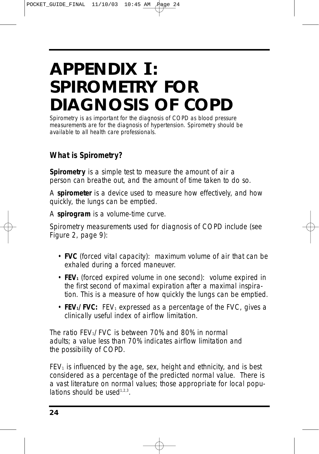## **APPENDIX I: SPIROMETRY FOR DIAGNOSIS OF COPD**

*Spirometry is as important for the diagnosis of COPD as blood pressure measurements are for the diagnosis of hypertension. Spirometry should be available to all health care professionals.*

#### **What is Spirometry?**

*Spirometry* is a simple test to measure the amount of air a person can breathe out, and the amount of time taken to do so.

A *spirometer* is a device used to measure how effectively, and how quickly, the lungs can be emptied.

A *spirogram* is a volume-time curve.

Spirometry measurements used for diagnosis of COPD include (see Figure 2, page 9):

- **FVC** (forced vital capacity): maximum volume of air that can be exhaled during a forced maneuver.
- **FEV**<sub>1</sub> (forced expired volume in one second): volume expired in the first second of maximal expiration after a maximal inspiration. This is a measure of how quickly the lungs can be emptied.
- **FEV<sub>1</sub>/FVC:** FEV<sub>1</sub> expressed as a percentage of the FVC, gives a clinically useful index of airflow limitation.

The ratio  $FEV<sub>1</sub>/FVC$  is between 70% and 80% in normal adults; a value less than 70% indicates airflow limitation and the possibility of COPD.

 $FEV<sub>1</sub>$  is influenced by the age, sex, height and ethnicity, and is best considered as a percentage of the predicted normal value. There is a vast literature on normal values; those appropriate for local populations should be used $1,2,3$ .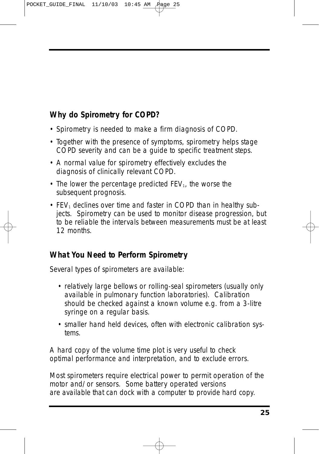POCKET\_GUIDE\_FINAL 11/10/03 10:45 AM

### **Why do Spirometry for COPD?**

- Spirometry is needed to make a firm diagnosis of COPD.
- Together with the presence of symptoms, spirometry helps stage COPD severity and can be a guide to specific treatment steps.
- A normal value for spirometry effectively excludes the diagnosis of clinically relevant COPD.
- The lower the percentage predicted  $FEV_1$ , the worse the subsequent prognosis.
- FEV<sub>1</sub> declines over time and faster in COPD than in healthy subjects. Spirometry can be used to monitor disease progression, but to be reliable the intervals between measurements must be at least 12 months.

#### **What You Need to Perform Spirometry**

Several types of spirometers are available:

- relatively large bellows or rolling-seal spirometers (usually only available in pulmonary function laboratories). Calibration should be checked against a known volume e.g. from a 3-litre syringe on a regular basis.
- smaller hand held devices, often with electronic calibration systems.

A hard copy of the volume time plot is very useful to check optimal performance and interpretation, and to exclude errors.

Most spirometers require electrical power to permit operation of the motor and/or sensors. Some battery operated versions are available that can dock with a computer to provide hard copy.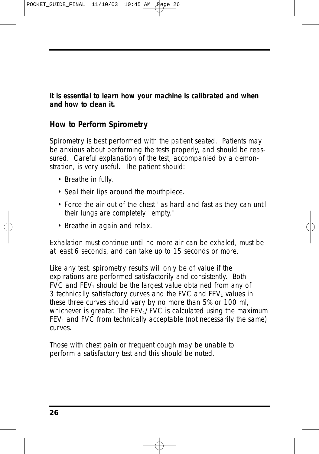POCKET\_GUIDE\_FINAL 11/10/03 10:45 AM

*It is essential to learn how your machine is calibrated and when and how to clean it.* 

#### **How to Perform Spirometry**

Spirometry is best performed with the patient seated. Patients may be anxious about performing the tests properly, and should be reassured. Careful explanation of the test, accompanied by a demonstration, is very useful. The patient should:

- Breathe in fully.
- Seal their lips around the mouthpiece.
- Force the air out of the chest "as hard and fast as they can until their lungs are completely "empty."
- Breathe in again and relax.

Exhalation must continue until no more air can be exhaled, must be at least 6 seconds, and can take up to 15 seconds or more.

Like any test, spirometry results will only be of value if the expirations are performed satisfactorily and consistently. Both FVC and  $FEV<sub>1</sub>$  should be the largest value obtained from any of 3 technically satisfactory curves and the FVC and  $FEV<sub>1</sub>$  values in these three curves should vary by no more than 5% or 100 ml, whichever is greater. The  $FEV<sub>1</sub>/FVC$  is calculated using the maximum  $FEV<sub>1</sub>$  and  $FVC$  from technically acceptable (not necessarily the same) curves.

Those with chest pain or frequent cough may be unable to perform a satisfactory test and this should be noted.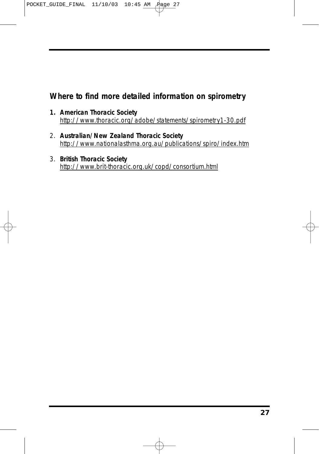POCKET\_GUIDE\_FINAL  $11/10/03$  10:45 AM  $\cancel{P}$ age 27

#### **Where to find more detailed information on spirometry**

- **1. American Thoracic Society** http://www.thoracic.org/adobe/statements/spirometry1-30.pdf
- 2. **Australian/New Zealand Thoracic Society** http://www.nationalasthma.org.au/publications/spiro/index.htm
- 3. **British Thoracic Society** http://www.brit-thoracic.org.uk/copd/consortium.html